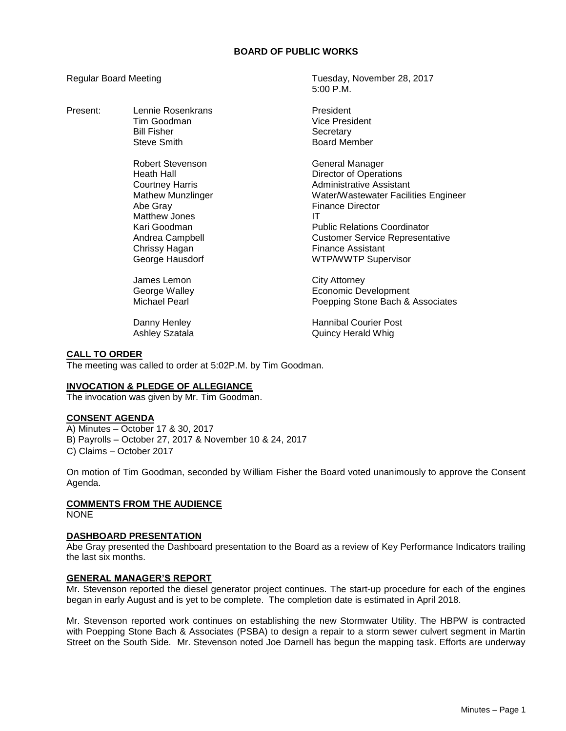# **BOARD OF PUBLIC WORKS**

Present: Lennie Rosenkrans President Bill Fisher North Secretary<br>Steve Smith Steve Steve Steve Steve Steve Steve Steve Steve Steve Steve Steve Steve Steve Steve Steve Steve

> Robert Stevenson General Manager Matthew Jones **IT** Chrissy Hagan **Finance Assistant**

James Lemon City Attorney

Regular Board Meeting Tuesday, November 28, 2017  $5:00 \text{ P} \text{M}$ 

> Tim Goodman Vice President Board Member

Heath Hall **Hall** Director of Operations Courtney Harris **Administrative Assistant** Mathew Munzlinger Water/Wastewater Facilities Engineer<br>Abe Grav Munzlinger Finance Director **Finance Director** Kari Goodman Public Relations Coordinator Andrea Campbell Customer Service Representative George Hausdorf WTP/WWTP Supervisor

George Walley **Example 20** Economic Development<br>Michael Pearl **Economic Development**<br>Poepping Stone Bach & Poepping Stone Bach & Associates

Danny Henley **Hannibal Courier Post** Ashley Szatala Quincy Herald Whig

# **CALL TO ORDER**

The meeting was called to order at 5:02P.M. by Tim Goodman.

# **INVOCATION & PLEDGE OF ALLEGIANCE**

The invocation was given by Mr. Tim Goodman.

# **CONSENT AGENDA**

A) Minutes – October 17 & 30, 2017 B) Payrolls – October 27, 2017 & November 10 & 24, 2017 C) Claims – October 2017

On motion of Tim Goodman, seconded by William Fisher the Board voted unanimously to approve the Consent Agenda.

# **COMMENTS FROM THE AUDIENCE**

**NONE** 

#### **DASHBOARD PRESENTATION**

Abe Gray presented the Dashboard presentation to the Board as a review of Key Performance Indicators trailing the last six months.

# **GENERAL MANAGER'S REPORT**

Mr. Stevenson reported the diesel generator project continues. The start-up procedure for each of the engines began in early August and is yet to be complete. The completion date is estimated in April 2018.

Mr. Stevenson reported work continues on establishing the new Stormwater Utility. The HBPW is contracted with Poepping Stone Bach & Associates (PSBA) to design a repair to a storm sewer culvert segment in Martin Street on the South Side. Mr. Stevenson noted Joe Darnell has begun the mapping task. Efforts are underway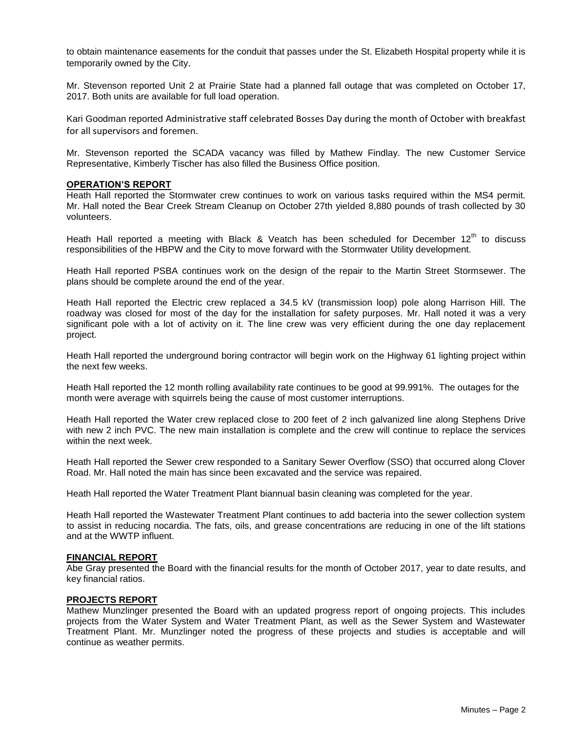to obtain maintenance easements for the conduit that passes under the St. Elizabeth Hospital property while it is temporarily owned by the City.

Mr. Stevenson reported Unit 2 at Prairie State had a planned fall outage that was completed on October 17, 2017. Both units are available for full load operation.

Kari Goodman reported Administrative staff celebrated Bosses Day during the month of October with breakfast for all supervisors and foremen.

Mr. Stevenson reported the SCADA vacancy was filled by Mathew Findlay. The new Customer Service Representative, Kimberly Tischer has also filled the Business Office position.

### **OPERATION'S REPORT**

Heath Hall reported the Stormwater crew continues to work on various tasks required within the MS4 permit. Mr. Hall noted the Bear Creek Stream Cleanup on October 27th yielded 8,880 pounds of trash collected by 30 volunteers.

Heath Hall reported a meeting with Black & Veatch has been scheduled for December  $12<sup>th</sup>$  to discuss responsibilities of the HBPW and the City to move forward with the Stormwater Utility development.

Heath Hall reported PSBA continues work on the design of the repair to the Martin Street Stormsewer. The plans should be complete around the end of the year.

Heath Hall reported the Electric crew replaced a 34.5 kV (transmission loop) pole along Harrison Hill. The roadway was closed for most of the day for the installation for safety purposes. Mr. Hall noted it was a very significant pole with a lot of activity on it. The line crew was very efficient during the one day replacement project.

Heath Hall reported the underground boring contractor will begin work on the Highway 61 lighting project within the next few weeks.

Heath Hall reported the 12 month rolling availability rate continues to be good at 99.991%. The outages for the month were average with squirrels being the cause of most customer interruptions.

Heath Hall reported the Water crew replaced close to 200 feet of 2 inch galvanized line along Stephens Drive with new 2 inch PVC. The new main installation is complete and the crew will continue to replace the services within the next week.

Heath Hall reported the Sewer crew responded to a Sanitary Sewer Overflow (SSO) that occurred along Clover Road. Mr. Hall noted the main has since been excavated and the service was repaired.

Heath Hall reported the Water Treatment Plant biannual basin cleaning was completed for the year.

Heath Hall reported the Wastewater Treatment Plant continues to add bacteria into the sewer collection system to assist in reducing nocardia. The fats, oils, and grease concentrations are reducing in one of the lift stations and at the WWTP influent.

#### **FINANCIAL REPORT**

Abe Gray presented the Board with the financial results for the month of October 2017, year to date results, and key financial ratios.

# **PROJECTS REPORT**

Mathew Munzlinger presented the Board with an updated progress report of ongoing projects. This includes projects from the Water System and Water Treatment Plant, as well as the Sewer System and Wastewater Treatment Plant. Mr. Munzlinger noted the progress of these projects and studies is acceptable and will continue as weather permits.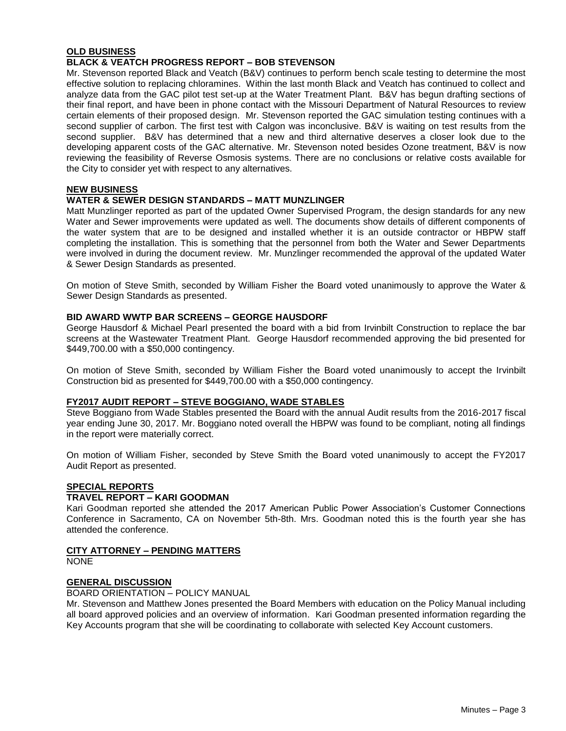# **OLD BUSINESS**

# **BLACK & VEATCH PROGRESS REPORT – BOB STEVENSON**

Mr. Stevenson reported Black and Veatch (B&V) continues to perform bench scale testing to determine the most effective solution to replacing chloramines. Within the last month Black and Veatch has continued to collect and analyze data from the GAC pilot test set-up at the Water Treatment Plant. B&V has begun drafting sections of their final report, and have been in phone contact with the Missouri Department of Natural Resources to review certain elements of their proposed design. Mr. Stevenson reported the GAC simulation testing continues with a second supplier of carbon. The first test with Calgon was inconclusive. B&V is waiting on test results from the second supplier. B&V has determined that a new and third alternative deserves a closer look due to the developing apparent costs of the GAC alternative. Mr. Stevenson noted besides Ozone treatment, B&V is now reviewing the feasibility of Reverse Osmosis systems. There are no conclusions or relative costs available for the City to consider yet with respect to any alternatives.

### **NEW BUSINESS**

## **WATER & SEWER DESIGN STANDARDS – MATT MUNZLINGER**

Matt Munzlinger reported as part of the updated Owner Supervised Program, the design standards for any new Water and Sewer improvements were updated as well. The documents show details of different components of the water system that are to be designed and installed whether it is an outside contractor or HBPW staff completing the installation. This is something that the personnel from both the Water and Sewer Departments were involved in during the document review. Mr. Munzlinger recommended the approval of the updated Water & Sewer Design Standards as presented.

On motion of Steve Smith, seconded by William Fisher the Board voted unanimously to approve the Water & Sewer Design Standards as presented.

### **BID AWARD WWTP BAR SCREENS – GEORGE HAUSDORF**

George Hausdorf & Michael Pearl presented the board with a bid from Irvinbilt Construction to replace the bar screens at the Wastewater Treatment Plant. George Hausdorf recommended approving the bid presented for \$449,700.00 with a \$50,000 contingency.

On motion of Steve Smith, seconded by William Fisher the Board voted unanimously to accept the Irvinbilt Construction bid as presented for \$449,700.00 with a \$50,000 contingency.

### **FY2017 AUDIT REPORT – STEVE BOGGIANO, WADE STABLES**

Steve Boggiano from Wade Stables presented the Board with the annual Audit results from the 2016-2017 fiscal year ending June 30, 2017. Mr. Boggiano noted overall the HBPW was found to be compliant, noting all findings in the report were materially correct.

On motion of William Fisher, seconded by Steve Smith the Board voted unanimously to accept the FY2017 Audit Report as presented.

#### **SPECIAL REPORTS**

# **TRAVEL REPORT – KARI GOODMAN**

Kari Goodman reported she attended the 2017 American Public Power Association's Customer Connections Conference in Sacramento, CA on November 5th-8th. Mrs. Goodman noted this is the fourth year she has attended the conference.

# **CITY ATTORNEY – PENDING MATTERS**

NONE

# **GENERAL DISCUSSION**

#### BOARD ORIENTATION – POLICY MANUAL

Mr. Stevenson and Matthew Jones presented the Board Members with education on the Policy Manual including all board approved policies and an overview of information. Kari Goodman presented information regarding the Key Accounts program that she will be coordinating to collaborate with selected Key Account customers.